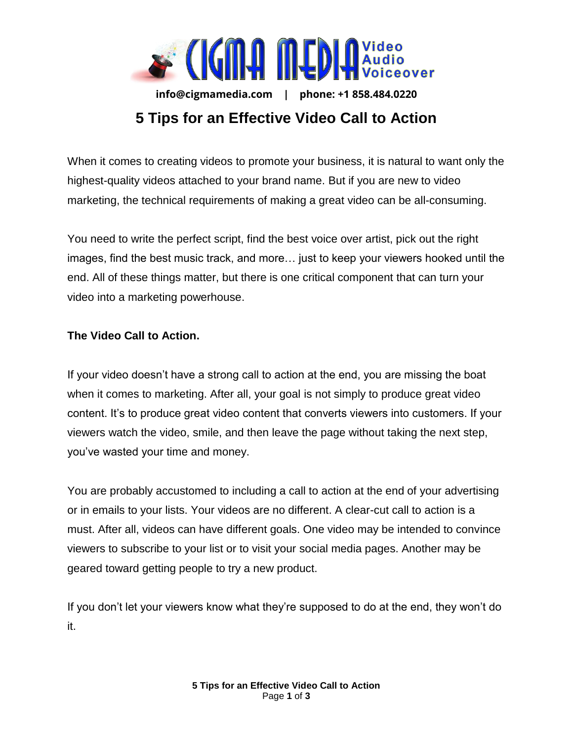

**info@cigmamedia.com | phone: +1 858.484.0220** 

## **5 Tips for an Effective Video Call to Action**

When it comes to creating videos to promote your business, it is natural to want only the highest-quality videos attached to your brand name. But if you are new to video marketing, the technical requirements of making a great video can be all-consuming.

You need to write the perfect script, find the best voice over artist, pick out the right images, find the best music track, and more… just to keep your viewers hooked until the end. All of these things matter, but there is one critical component that can turn your video into a marketing powerhouse.

## **The Video Call to Action.**

If your video doesn't have a strong call to action at the end, you are missing the boat when it comes to marketing. After all, your goal is not simply to produce great video content. It's to produce great video content that converts viewers into customers. If your viewers watch the video, smile, and then leave the page without taking the next step, you've wasted your time and money.

You are probably accustomed to including a call to action at the end of your advertising or in emails to your lists. Your videos are no different. A clear-cut call to action is a must. After all, videos can have different goals. One video may be intended to convince viewers to subscribe to your list or to visit your social media pages. Another may be geared toward getting people to try a new product.

If you don't let your viewers know what they're supposed to do at the end, they won't do it.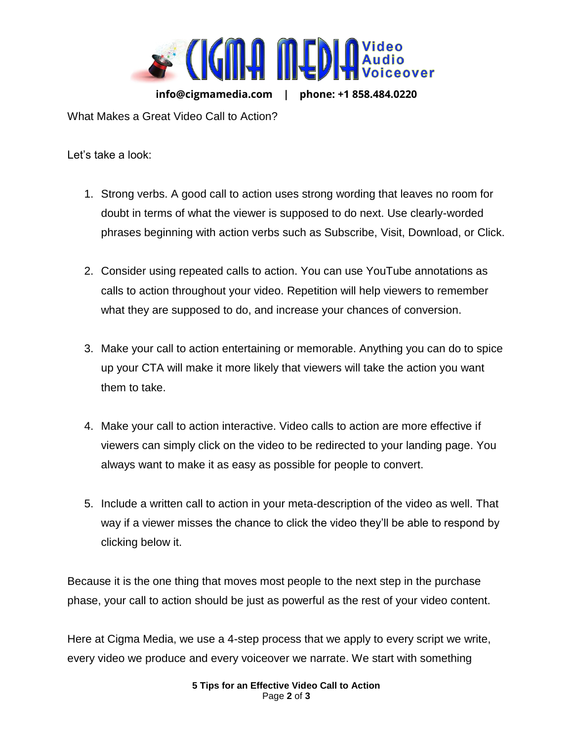

**info@cigmamedia.com | phone: +1 858.484.0220** 

What Makes a Great Video Call to Action?

Let's take a look:

- 1. Strong verbs. A good call to action uses strong wording that leaves no room for doubt in terms of what the viewer is supposed to do next. Use clearly-worded phrases beginning with action verbs such as Subscribe, Visit, Download, or Click.
- 2. Consider using repeated calls to action. You can use YouTube annotations as calls to action throughout your video. Repetition will help viewers to remember what they are supposed to do, and increase your chances of conversion.
- 3. Make your call to action entertaining or memorable. Anything you can do to spice up your CTA will make it more likely that viewers will take the action you want them to take.
- 4. Make your call to action interactive. Video calls to action are more effective if viewers can simply click on the video to be redirected to your landing page. You always want to make it as easy as possible for people to convert.
- 5. Include a written call to action in your meta-description of the video as well. That way if a viewer misses the chance to click the video they'll be able to respond by clicking below it.

Because it is the one thing that moves most people to the next step in the purchase phase, your call to action should be just as powerful as the rest of your video content.

Here at Cigma Media, we use a 4-step process that we apply to every script we write, every video we produce and every voiceover we narrate. We start with something

> **5 Tips for an Effective Video Call to Action**  Page **2** of **3**